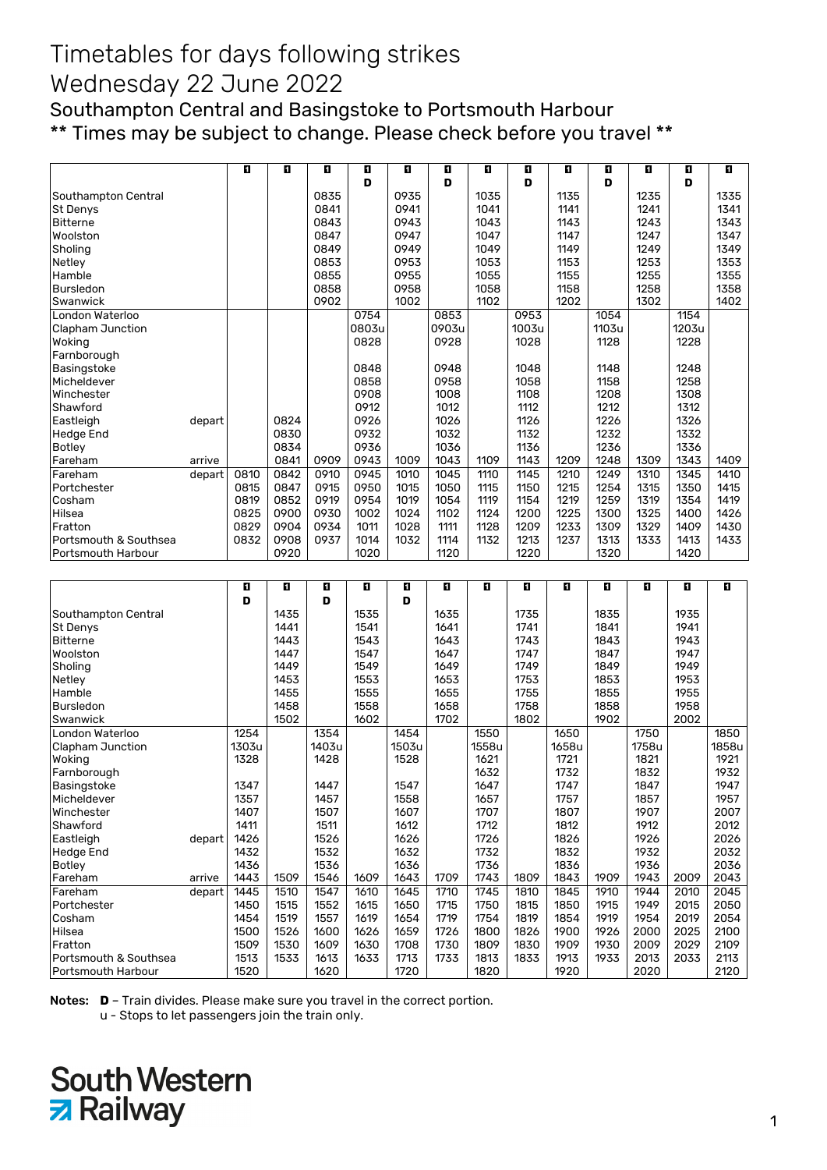Southampton Central and Basingstoke to Portsmouth Harbour \*\* Times may be subject to change. Please check before you travel \*\*

|                       |        | Ð    | O    | п    | D.    | O    | O     | п    | 0     | п    | O     | ū    | п     | O    |
|-----------------------|--------|------|------|------|-------|------|-------|------|-------|------|-------|------|-------|------|
|                       |        |      |      |      | D     |      | D     |      | D     |      | D     |      | D     |      |
| Southampton Central   |        |      |      | 0835 |       | 0935 |       | 1035 |       | 1135 |       | 1235 |       | 1335 |
| <b>St Denys</b>       |        |      |      | 0841 |       | 0941 |       | 1041 |       | 1141 |       | 1241 |       | 1341 |
| <b>Bitterne</b>       |        |      |      | 0843 |       | 0943 |       | 1043 |       | 1143 |       | 1243 |       | 1343 |
| Woolston              |        |      |      | 0847 |       | 0947 |       | 1047 |       | 1147 |       | 1247 |       | 1347 |
| Sholing               |        |      |      | 0849 |       | 0949 |       | 1049 |       | 1149 |       | 1249 |       | 1349 |
| Netley                |        |      |      | 0853 |       | 0953 |       | 1053 |       | 1153 |       | 1253 |       | 1353 |
| Hamble                |        |      |      | 0855 |       | 0955 |       | 1055 |       | 1155 |       | 1255 |       | 1355 |
| <b>Bursledon</b>      |        |      |      | 0858 |       | 0958 |       | 1058 |       | 1158 |       | 1258 |       | 1358 |
| Swanwick              |        |      |      | 0902 |       | 1002 |       | 1102 |       | 1202 |       | 1302 |       | 1402 |
| London Waterloo       |        |      |      |      | 0754  |      | 0853  |      | 0953  |      | 1054  |      | 1154  |      |
| Clapham Junction      |        |      |      |      | 0803u |      | 0903u |      | 1003u |      | 1103u |      | 1203u |      |
| Woking                |        |      |      |      | 0828  |      | 0928  |      | 1028  |      | 1128  |      | 1228  |      |
| Farnborough           |        |      |      |      |       |      |       |      |       |      |       |      |       |      |
| Basingstoke           |        |      |      |      | 0848  |      | 0948  |      | 1048  |      | 1148  |      | 1248  |      |
| Micheldever           |        |      |      |      | 0858  |      | 0958  |      | 1058  |      | 1158  |      | 1258  |      |
| Winchester            |        |      |      |      | 0908  |      | 1008  |      | 1108  |      | 1208  |      | 1308  |      |
| Shawford              |        |      |      |      | 0912  |      | 1012  |      | 1112  |      | 1212  |      | 1312  |      |
| Eastleigh             | depart |      | 0824 |      | 0926  |      | 1026  |      | 1126  |      | 1226  |      | 1326  |      |
| <b>Hedge End</b>      |        |      | 0830 |      | 0932  |      | 1032  |      | 1132  |      | 1232  |      | 1332  |      |
| Botley                |        |      | 0834 |      | 0936  |      | 1036  |      | 1136  |      | 1236  |      | 1336  |      |
| Fareham               | arrive |      | 0841 | 0909 | 0943  | 1009 | 1043  | 1109 | 1143  | 1209 | 1248  | 1309 | 1343  | 1409 |
| Fareham               | depart | 0810 | 0842 | 0910 | 0945  | 1010 | 1045  | 1110 | 1145  | 1210 | 1249  | 1310 | 1345  | 1410 |
| Portchester           |        | 0815 | 0847 | 0915 | 0950  | 1015 | 1050  | 1115 | 1150  | 1215 | 1254  | 1315 | 1350  | 1415 |
| Cosham                |        | 0819 | 0852 | 0919 | 0954  | 1019 | 1054  | 1119 | 1154  | 1219 | 1259  | 1319 | 1354  | 1419 |
| Hilsea                |        | 0825 | 0900 | 0930 | 1002  | 1024 | 1102  | 1124 | 1200  | 1225 | 1300  | 1325 | 1400  | 1426 |
| Fratton               |        | 0829 | 0904 | 0934 | 1011  | 1028 | 1111  | 1128 | 1209  | 1233 | 1309  | 1329 | 1409  | 1430 |
| Portsmouth & Southsea |        | 0832 | 0908 | 0937 | 1014  | 1032 | 1114  | 1132 | 1213  | 1237 | 1313  | 1333 | 1413  | 1433 |
| Portsmouth Harbour    |        |      | 0920 |      | 1020  |      | 1120  |      | 1220  |      | 1320  |      | 1420  |      |
|                       |        |      |      |      |       |      |       |      |       |      |       |      |       |      |
|                       |        | ū    | Ð    | D    | O     | O    | O     | П    | O     | П    | п     | П    | O     | П    |
|                       |        | D    |      | D    |       | D    |       |      |       |      |       |      |       |      |
| Southampton Central   |        |      | 1435 |      | 1535  |      | 1635  |      | 1735  |      | 1835  |      | 1935  |      |
| <b>St Denys</b>       |        |      | 1441 |      | 1541  |      | 1641  |      | 1741  |      | 1841  |      | 1941  |      |
| <b>Bitterne</b>       |        |      | 1443 |      | 1543  |      | 1643  |      | 1743  |      | 1843  |      | 1943  |      |
| Woolston              |        |      | 1447 |      | 1547  |      | 1647  |      | 1747  |      | 1847  |      | 1947  |      |
| Sholing               |        |      | 1449 |      | 1549  |      | 1649  |      | 1749  |      | 1849  |      | 1949  |      |

| Woolston              |        |       | 1447 |       | 1547 |       | 1647 |       | 1747 |       | 1847 |       | 1947 |       |
|-----------------------|--------|-------|------|-------|------|-------|------|-------|------|-------|------|-------|------|-------|
| Sholing               |        |       | 1449 |       | 1549 |       | 1649 |       | 1749 |       | 1849 |       | 1949 |       |
| Netley                |        |       | 1453 |       | 1553 |       | 1653 |       | 1753 |       | 1853 |       | 1953 |       |
| Hamble                |        |       | 1455 |       | 1555 |       | 1655 |       | 1755 |       | 1855 |       | 1955 |       |
| Bursledon             |        |       | 1458 |       | 1558 |       | 1658 |       | 1758 |       | 1858 |       | 1958 |       |
| Swanwick              |        |       | 1502 |       | 1602 |       | 1702 |       | 1802 |       | 1902 |       | 2002 |       |
| London Waterloo       |        | 1254  |      | 1354  |      | 1454  |      | 1550  |      | 1650  |      | 1750  |      | 1850  |
| Clapham Junction      |        | 1303u |      | 1403u |      | 1503u |      | 1558u |      | 1658u |      | 1758u |      | 1858u |
| Woking                |        | 1328  |      | 1428  |      | 1528  |      | 1621  |      | 1721  |      | 1821  |      | 1921  |
| Farnborough           |        |       |      |       |      |       |      | 1632  |      | 1732  |      | 1832  |      | 1932  |
| Basingstoke           |        | 1347  |      | 1447  |      | 1547  |      | 1647  |      | 1747  |      | 1847  |      | 1947  |
| Micheldever           |        | 1357  |      | 1457  |      | 1558  |      | 1657  |      | 1757  |      | 1857  |      | 1957  |
| Winchester            |        | 1407  |      | 1507  |      | 1607  |      | 1707  |      | 1807  |      | 1907  |      | 2007  |
| Shawford              |        | 1411  |      | 1511  |      | 1612  |      | 1712  |      | 1812  |      | 1912  |      | 2012  |
| Eastleigh             | depart | 1426  |      | 1526  |      | 1626  |      | 1726  |      | 1826  |      | 1926  |      | 2026  |
| Hedge End             |        | 1432  |      | 1532  |      | 1632  |      | 1732  |      | 1832  |      | 1932  |      | 2032  |
| <b>Botley</b>         |        | 1436  |      | 1536  |      | 1636  |      | 1736  |      | 1836  |      | 1936  |      | 2036  |
| Fareham               | arrive | 1443  | 1509 | 1546  | 1609 | 1643  | 1709 | 1743  | 1809 | 1843  | 1909 | 1943  | 2009 | 2043  |
| Fareham               | depart | 1445  | 1510 | 1547  | 1610 | 1645  | 1710 | 1745  | 1810 | 1845  | 1910 | 1944  | 2010 | 2045  |
| Portchester           |        | 1450  | 1515 | 1552  | 1615 | 1650  | 1715 | 1750  | 1815 | 1850  | 1915 | 1949  | 2015 | 2050  |
| Cosham                |        | 1454  | 1519 | 1557  | 1619 | 1654  | 1719 | 1754  | 1819 | 1854  | 1919 | 1954  | 2019 | 2054  |
| Hilsea                |        | 1500  | 1526 | 1600  | 1626 | 1659  | 1726 | 1800  | 1826 | 1900  | 1926 | 2000  | 2025 | 2100  |
| Fratton               |        | 1509  | 1530 | 1609  | 1630 | 1708  | 1730 | 1809  | 1830 | 1909  | 1930 | 2009  | 2029 | 2109  |
| Portsmouth & Southsea |        | 1513  | 1533 | 1613  | 1633 | 1713  | 1733 | 1813  | 1833 | 1913  | 1933 | 2013  | 2033 | 2113  |
| Portsmouth Harbour    |        | 1520  |      | 1620  |      | 1720  |      | 1820  |      | 1920  |      | 2020  |      | 2120  |

Notes: **D** – Train divides. Please make sure you travel in the correct portion.

u - Stops to let passengers join the train only.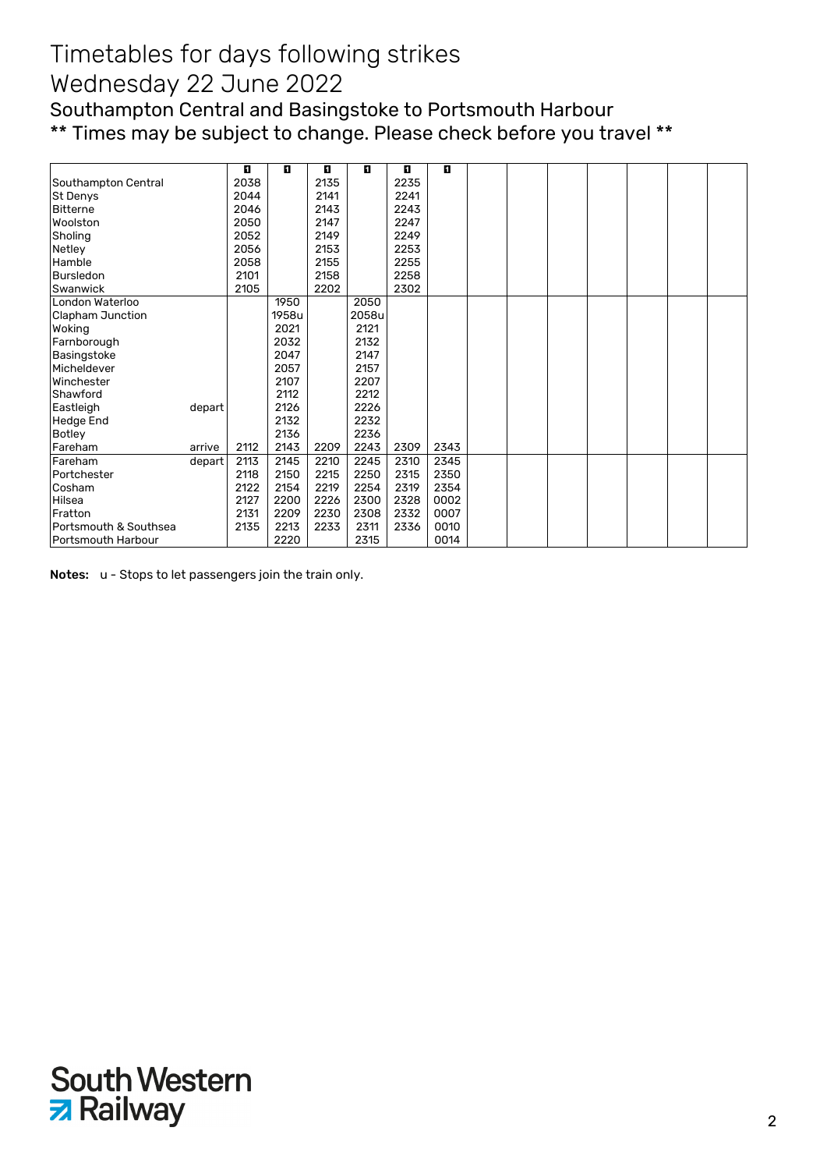Southampton Central and Basingstoke to Portsmouth Harbour \*\* Times may be subject to change. Please check before you travel \*\*

|                       |        | П    | O     | п    | П     | O    | п    |  |  |  |  |
|-----------------------|--------|------|-------|------|-------|------|------|--|--|--|--|
| Southampton Central   |        | 2038 |       | 2135 |       | 2235 |      |  |  |  |  |
| <b>St Denys</b>       |        | 2044 |       | 2141 |       | 2241 |      |  |  |  |  |
| <b>Bitterne</b>       |        | 2046 |       | 2143 |       | 2243 |      |  |  |  |  |
| Woolston              |        | 2050 |       | 2147 |       | 2247 |      |  |  |  |  |
| Sholing               |        | 2052 |       | 2149 |       | 2249 |      |  |  |  |  |
| Netley                |        | 2056 |       | 2153 |       | 2253 |      |  |  |  |  |
| Hamble                |        | 2058 |       | 2155 |       | 2255 |      |  |  |  |  |
| <b>Bursledon</b>      |        | 2101 |       | 2158 |       | 2258 |      |  |  |  |  |
| Swanwick              |        | 2105 |       | 2202 |       | 2302 |      |  |  |  |  |
| London Waterloo       |        |      | 1950  |      | 2050  |      |      |  |  |  |  |
| Clapham Junction      |        |      | 1958u |      | 2058u |      |      |  |  |  |  |
| Woking                |        |      | 2021  |      | 2121  |      |      |  |  |  |  |
| Farnborough           |        |      | 2032  |      | 2132  |      |      |  |  |  |  |
| Basingstoke           |        |      | 2047  |      | 2147  |      |      |  |  |  |  |
| Micheldever           |        |      | 2057  |      | 2157  |      |      |  |  |  |  |
| Winchester            |        |      | 2107  |      | 2207  |      |      |  |  |  |  |
| Shawford              |        |      | 2112  |      | 2212  |      |      |  |  |  |  |
| Eastleigh             | depart |      | 2126  |      | 2226  |      |      |  |  |  |  |
| <b>Hedge End</b>      |        |      | 2132  |      | 2232  |      |      |  |  |  |  |
| Botley                |        |      | 2136  |      | 2236  |      |      |  |  |  |  |
| Fareham               | arrive | 2112 | 2143  | 2209 | 2243  | 2309 | 2343 |  |  |  |  |
| Fareham               | depart | 2113 | 2145  | 2210 | 2245  | 2310 | 2345 |  |  |  |  |
| Portchester           |        | 2118 | 2150  | 2215 | 2250  | 2315 | 2350 |  |  |  |  |
| Cosham                |        | 2122 | 2154  | 2219 | 2254  | 2319 | 2354 |  |  |  |  |
| Hilsea                |        | 2127 | 2200  | 2226 | 2300  | 2328 | 0002 |  |  |  |  |
| Fratton               |        | 2131 | 2209  | 2230 | 2308  | 2332 | 0007 |  |  |  |  |
| Portsmouth & Southsea |        | 2135 | 2213  | 2233 | 2311  | 2336 | 0010 |  |  |  |  |
| Portsmouth Harbour    |        |      | 2220  |      | 2315  |      | 0014 |  |  |  |  |

Notes: u - Stops to let passengers join the train only.

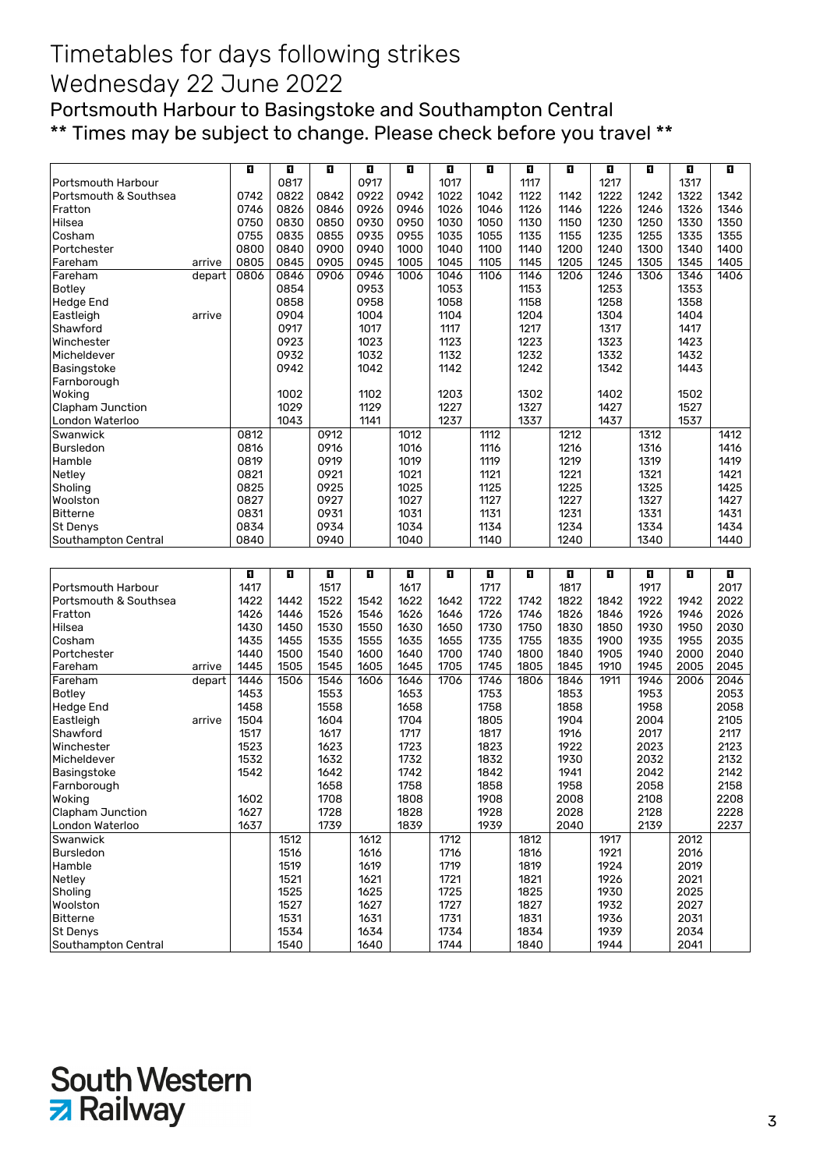Portsmouth Harbour to Basingstoke and Southampton Central \*\* Times may be subject to change. Please check before you travel \*\*

|                                 |        | п    | ū            | O    | ū            | E.   | O            | O    | ū            | O    | П            | Ð    | Ð            | п    |
|---------------------------------|--------|------|--------------|------|--------------|------|--------------|------|--------------|------|--------------|------|--------------|------|
| Portsmouth Harbour              |        |      | 0817         |      | 0917         |      | 1017         |      | 1117         |      | 1217         |      | 1317         |      |
| Portsmouth & Southsea           |        | 0742 | 0822         | 0842 | 0922         | 0942 | 1022         | 1042 | 1122         | 1142 | 1222         | 1242 | 1322         | 1342 |
| Fratton                         |        | 0746 | 0826         | 0846 | 0926         | 0946 | 1026         | 1046 | 1126         | 1146 | 1226         | 1246 | 1326         | 1346 |
| Hilsea                          |        | 0750 | 0830         | 0850 | 0930         | 0950 | 1030         | 1050 | 1130         | 1150 | 1230         | 1250 | 1330         | 1350 |
| Cosham                          |        | 0755 | 0835         | 0855 | 0935         | 0955 | 1035         | 1055 | 1135         | 1155 | 1235         | 1255 | 1335         | 1355 |
|                                 |        |      | 0840         |      | 0940         |      |              |      |              |      |              |      |              |      |
| Portchester                     |        | 0800 |              | 0900 |              | 1000 | 1040         | 1100 | 1140         | 1200 | 1240         | 1300 | 1340         | 1400 |
| Fareham                         | arrive | 0805 | 0845         | 0905 | 0945         | 1005 | 1045         | 1105 | 1145         | 1205 | 1245         | 1305 | 1345         | 1405 |
| Fareham                         | depart | 0806 | 0846         | 0906 | 0946         | 1006 | 1046         | 1106 | 1146         | 1206 | 1246         | 1306 | 1346         | 1406 |
| <b>Botley</b>                   |        |      | 0854         |      | 0953         |      | 1053         |      | 1153         |      | 1253         |      | 1353         |      |
| <b>Hedge End</b>                |        |      | 0858         |      | 0958         |      | 1058         |      | 1158         |      | 1258         |      | 1358         |      |
| Eastleigh                       | arrive |      | 0904         |      | 1004         |      | 1104         |      | 1204         |      | 1304         |      | 1404         |      |
| Shawford                        |        |      | 0917         |      | 1017         |      | 1117         |      | 1217         |      | 1317         |      | 1417         |      |
|                                 |        |      |              |      |              |      |              |      |              |      |              |      |              |      |
| Winchester                      |        |      | 0923         |      | 1023         |      | 1123         |      | 1223         |      | 1323         |      | 1423         |      |
| Micheldever                     |        |      | 0932         |      | 1032         |      | 1132         |      | 1232         |      | 1332         |      | 1432         |      |
| Basingstoke                     |        |      | 0942         |      | 1042         |      | 1142         |      | 1242         |      | 1342         |      | 1443         |      |
| Farnborough                     |        |      |              |      |              |      |              |      |              |      |              |      |              |      |
| Woking                          |        |      | 1002         |      | 1102         |      | 1203         |      | 1302         |      | 1402         |      | 1502         |      |
| Clapham Junction                |        |      | 1029         |      | 1129         |      | 1227         |      | 1327         |      | 1427         |      | 1527         |      |
| London Waterloo                 |        |      | 1043         |      | 1141         |      | 1237         |      | 1337         |      | 1437         |      | 1537         |      |
|                                 |        |      |              |      |              |      |              |      |              |      |              |      |              |      |
| Swanwick                        |        | 0812 |              | 0912 |              | 1012 |              | 1112 |              | 1212 |              | 1312 |              | 1412 |
| <b>Bursledon</b>                |        | 0816 |              | 0916 |              | 1016 |              | 1116 |              | 1216 |              | 1316 |              | 1416 |
| Hamble                          |        | 0819 |              | 0919 |              | 1019 |              | 1119 |              | 1219 |              | 1319 |              | 1419 |
| Netley                          |        | 0821 |              | 0921 |              | 1021 |              | 1121 |              | 1221 |              | 1321 |              | 1421 |
| Sholing                         |        | 0825 |              | 0925 |              | 1025 |              | 1125 |              | 1225 |              | 1325 |              | 1425 |
| Woolston                        |        | 0827 |              | 0927 |              | 1027 |              | 1127 |              | 1227 |              | 1327 |              | 1427 |
| <b>Bitterne</b>                 |        | 0831 |              | 0931 |              | 1031 |              | 1131 |              | 1231 |              | 1331 |              | 1431 |
| St Denys                        |        | 0834 |              | 0934 |              | 1034 |              | 1134 |              | 1234 |              | 1334 |              | 1434 |
| Southampton Central             |        | 0840 |              | 0940 |              | 1040 |              | 1140 |              | 1240 |              | 1340 |              | 1440 |
|                                 |        |      |              |      |              |      |              |      |              |      |              |      |              |      |
|                                 |        |      |              |      |              |      |              |      |              |      |              |      |              |      |
|                                 |        |      |              |      |              |      |              |      |              |      |              |      |              |      |
|                                 |        | O    | D.           | o    | O            | п    | П            | O    | п            | O    | П            | П    | п            | D.   |
|                                 |        | 1417 |              |      |              |      |              |      |              |      |              | 1917 |              | 2017 |
| Portsmouth Harbour              |        |      |              | 1517 |              | 1617 |              | 1717 |              | 1817 |              |      |              |      |
| Portsmouth & Southsea           |        | 1422 | 1442         | 1522 | 1542         | 1622 | 1642         | 1722 | 1742         | 1822 | 1842         | 1922 | 1942         | 2022 |
| Fratton                         |        | 1426 | 1446         | 1526 | 1546         | 1626 | 1646         | 1726 | 1746         | 1826 | 1846         | 1926 | 1946         | 2026 |
| Hilsea                          |        | 1430 | 1450         | 1530 | 1550         | 1630 | 1650         | 1730 | 1750         | 1830 | 1850         | 1930 | 1950         | 2030 |
| Cosham                          |        | 1435 | 1455         | 1535 | 1555         | 1635 | 1655         | 1735 | 1755         | 1835 | 1900         | 1935 | 1955         | 2035 |
| Portchester                     |        | 1440 | 1500         | 1540 | 1600         | 1640 | 1700         | 1740 | 1800         | 1840 | 1905         | 1940 | 2000         | 2040 |
| Fareham                         | arrive | 1445 | 1505         | 1545 | 1605         | 1645 | 1705         | 1745 | 1805         | 1845 | 1910         | 1945 | 2005         | 2045 |
| Fareham                         | depart | 1446 | 1506         | 1546 | 1606         | 1646 | 1706         | 1746 | 1806         | 1846 | 1911         | 1946 | 2006         | 2046 |
| <b>Botley</b>                   |        | 1453 |              | 1553 |              | 1653 |              | 1753 |              | 1853 |              | 1953 |              | 2053 |
| <b>Hedge End</b>                |        | 1458 |              | 1558 |              | 1658 |              | 1758 |              | 1858 |              | 1958 |              | 2058 |
|                                 | arrive | 1504 |              | 1604 |              | 1704 |              | 1805 |              | 1904 |              | 2004 |              | 2105 |
| Eastleigh                       |        |      |              |      |              |      |              |      |              |      |              |      |              |      |
| Shawford                        |        | 1517 |              | 1617 |              | 1717 |              | 1817 |              | 1916 |              | 2017 |              | 2117 |
| Winchester                      |        | 1523 |              | 1623 |              | 1723 |              | 1823 |              | 1922 |              | 2023 |              | 2123 |
| Micheldever                     |        | 1532 |              | 1632 |              | 1732 |              | 1832 |              | 1930 |              | 2032 |              | 2132 |
| Basingstoke                     |        | 1542 |              | 1642 |              | 1742 |              | 1842 |              | 1941 |              | 2042 |              | 2142 |
| Farnborough                     |        |      |              | 1658 |              | 1758 |              | 1858 |              | 1958 |              | 2058 |              | 2158 |
| Woking                          |        | 1602 |              | 1708 |              | 1808 |              | 1908 |              | 2008 |              | 2108 |              | 2208 |
| Clapham Junction                |        | 1627 |              | 1728 |              | 1828 |              | 1928 |              | 2028 |              | 2128 |              | 2228 |
| London Waterloo                 |        | 1637 |              | 1739 |              | 1839 |              | 1939 |              | 2040 |              | 2139 |              | 2237 |
| Swanwick                        |        |      | 1512         |      | 1612         |      | 1712         |      | 1812         |      | 1917         |      | 2012         |      |
| Bursledon                       |        |      | 1516         |      | 1616         |      | 1716         |      | 1816         |      |              |      |              |      |
|                                 |        |      |              |      |              |      |              |      |              |      | 1921         |      | 2016         |      |
| Hamble                          |        |      | 1519         |      | 1619         |      | 1719         |      | 1819         |      | 1924         |      | 2019         |      |
| Netley                          |        |      | 1521         |      | 1621         |      | 1721         |      | 1821         |      | 1926         |      | 2021         |      |
| Sholing                         |        |      | 1525         |      | 1625         |      | 1725         |      | 1825         |      | 1930         |      | 2025         |      |
| Woolston                        |        |      | 1527         |      | 1627         |      | 1727         |      | 1827         |      | 1932         |      | 2027         |      |
| <b>Bitterne</b>                 |        |      | 1531         |      | 1631         |      | 1731         |      | 1831         |      | 1936         |      | 2031         |      |
| St Denys<br>Southampton Central |        |      | 1534<br>1540 |      | 1634<br>1640 |      | 1734<br>1744 |      | 1834<br>1840 |      | 1939<br>1944 |      | 2034<br>2041 |      |